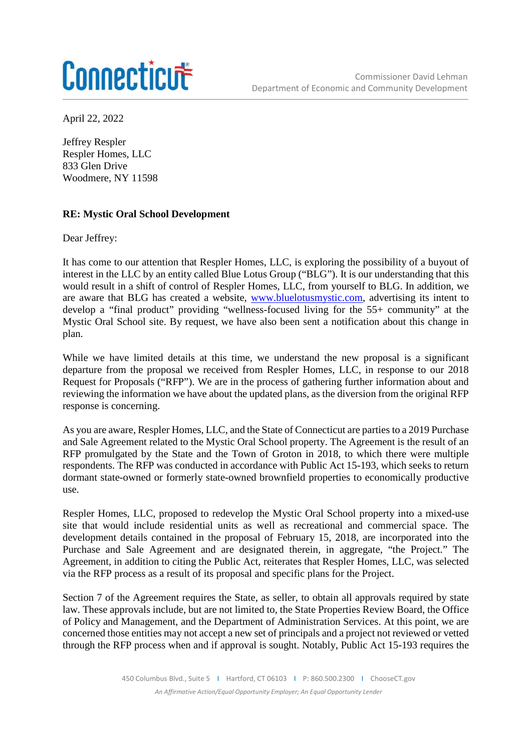## Connecticut

April 22, 2022

Jeffrey Respler Respler Homes, LLC 833 Glen Drive Woodmere, NY 11598

## **RE: Mystic Oral School Development**

Dear Jeffrey:

It has come to our attention that Respler Homes, LLC, is exploring the possibility of a buyout of interest in the LLC by an entity called Blue Lotus Group ("BLG"). It is our understanding that this would result in a shift of control of Respler Homes, LLC, from yourself to BLG. In addition, we are aware that BLG has created a website, www.bluelotusmystic.com, advertising its intent to develop a "final product" providing "wellness-focused living for the 55+ community" at the Mystic Oral School site. By request, we have also been sent a notification about this change in plan.

While we have limited details at this time, we understand the new proposal is a significant departure from the proposal we received from Respler Homes, LLC, in response to our 2018 Request for Proposals ("RFP"). We are in the process of gathering further information about and reviewing the information we have about the updated plans, as the diversion from the original RFP response is concerning.

As you are aware, Respler Homes, LLC, and the State of Connecticut are parties to a 2019 Purchase and Sale Agreement related to the Mystic Oral School property. The Agreement is the result of an RFP promulgated by the State and the Town of Groton in 2018, to which there were multiple respondents. The RFP was conducted in accordance with Public Act 15-193, which seeks to return dormant state-owned or formerly state-owned brownfield properties to economically productive use.

Respler Homes, LLC, proposed to redevelop the Mystic Oral School property into a mixed-use site that would include residential units as well as recreational and commercial space. The development details contained in the proposal of February 15, 2018, are incorporated into the Purchase and Sale Agreement and are designated therein, in aggregate, "the Project." The Agreement, in addition to citing the Public Act, reiterates that Respler Homes, LLC, was selected via the RFP process as a result of its proposal and specific plans for the Project.

Section 7 of the Agreement requires the State, as seller, to obtain all approvals required by state law. These approvals include, but are not limited to, the State Properties Review Board, the Office of Policy and Management, and the Department of Administration Services. At this point, we are concerned those entities may not accept a new set of principals and a project not reviewed or vetted through the RFP process when and if approval is sought. Notably, Public Act 15-193 requires the